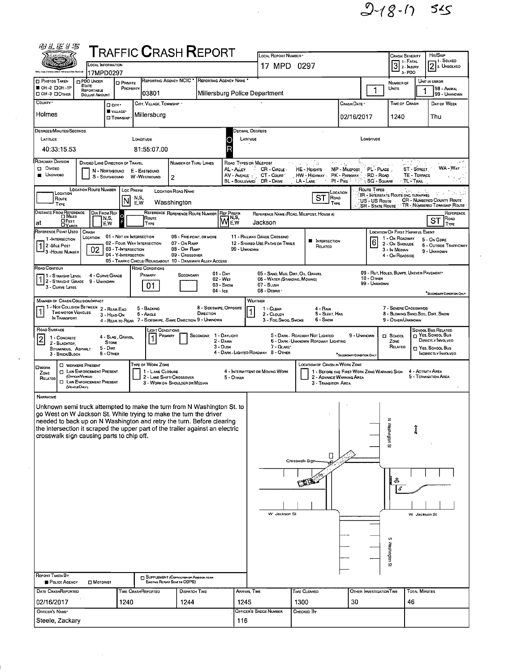$2 - 18 - 17$  545

| ${\sf T}$ RAFFIC ${\sf C}$ RASH ${\sf R}$ EPORT<br>LOCAL INFORMATION                                                                                                                                                                                                              |                                                                                                                            |                                                   |                    |                            |                                                                             |                       | LOCAL REPORT NUMBER *<br>17 MPD 0297            |                                                 |              |                                                                         |                           |             | <b>CRASH SEVERITY</b><br>"  1 - FATAL<br>$\boxed{3}$ 2 - INJURY |                                                          | HIT/SKIP<br><sup>1 - Solved</sup><br>2 2. Unsolved |                                                                                    |
|-----------------------------------------------------------------------------------------------------------------------------------------------------------------------------------------------------------------------------------------------------------------------------------|----------------------------------------------------------------------------------------------------------------------------|---------------------------------------------------|--------------------|----------------------------|-----------------------------------------------------------------------------|-----------------------|-------------------------------------------------|-------------------------------------------------|--------------|-------------------------------------------------------------------------|---------------------------|-------------|-----------------------------------------------------------------|----------------------------------------------------------|----------------------------------------------------|------------------------------------------------------------------------------------|
|                                                                                                                                                                                                                                                                                   | 17MPD0297                                                                                                                  |                                                   |                    |                            |                                                                             |                       |                                                 |                                                 |              |                                                                         |                           |             |                                                                 | 3-PDO                                                    |                                                    |                                                                                    |
| <b>D</b> PHOTOS TAKEN<br>OH-2 DOH-1P                                                                                                                                                                                                                                              | <b>D PDO UNOER</b><br><b>STATE</b><br>REPORTABLE                                                                           | <b>D</b> PRIVATE<br>PROPERTY                      |                    |                            |                                                                             |                       | REPORTING AGENCY NCIC * REPORTING AGENCY NAME * |                                                 |              |                                                                         |                           |             | 1                                                               | NUMBER OF<br>UNITS                                       |                                                    | UNIT IN ERROR<br>98 - Animal                                                       |
| OH-3 DOTHER<br>COUNTY'                                                                                                                                                                                                                                                            | <b>DOLLAR AMOUNT</b>                                                                                                       |                                                   |                    | 03801                      |                                                                             |                       |                                                 | Millersburg Police Department                   |              |                                                                         |                           |             |                                                                 | TIME OF CRASH                                            |                                                    | 99 - UNKNOWN                                                                       |
|                                                                                                                                                                                                                                                                                   |                                                                                                                            | □ CITY *<br>VILLAGE*                              |                    | CITY, VILLAGE, TOWNSHIP    |                                                                             |                       |                                                 |                                                 |              |                                                                         | CRASH DATE '              |             |                                                                 |                                                          |                                                    | DAY OF WEEK                                                                        |
| Holmes<br>Millersburg<br><b>O</b> Township                                                                                                                                                                                                                                        |                                                                                                                            |                                                   |                    |                            |                                                                             |                       |                                                 | 02/16/2017                                      |              |                                                                         |                           |             |                                                                 | 1240<br>Thu                                              |                                                    |                                                                                    |
| DEGREES/MINUTES/SECONDS                                                                                                                                                                                                                                                           |                                                                                                                            |                                                   |                    |                            |                                                                             |                       |                                                 | DECIMAL DEGREES                                 |              |                                                                         |                           |             |                                                                 |                                                          |                                                    |                                                                                    |
| LATITUDE<br>LATITUDE<br>LONGITUDE<br>Longmude<br>О                                                                                                                                                                                                                                |                                                                                                                            |                                                   |                    |                            |                                                                             |                       |                                                 |                                                 |              |                                                                         |                           |             |                                                                 |                                                          |                                                    |                                                                                    |
| 40:33:15.53<br>81:55:07.00<br>$\sim$ 14                                                                                                                                                                                                                                           |                                                                                                                            |                                                   |                    |                            |                                                                             |                       |                                                 |                                                 |              |                                                                         |                           |             |                                                                 |                                                          |                                                    |                                                                                    |
| <b>ROADWAY DIVISION</b><br>Divideo                                                                                                                                                                                                                                                | DIVIDED LANE DIRECTION OF TRAVEL                                                                                           |                                                   |                    |                            | NUMBER OF THRU LANES                                                        |                       | AL - ALLEY                                      | ROAO TYPES OR MILEPOST<br>-21<br>CR - CIRCLE -  |              | ್ತು ಮ<br>HE - HEIGHTS                                                   | Artista<br>MP - MILEPOST  |             | PL - PLACE                                                      |                                                          | ST - STREET                                        | $\mu = \pm \frac{1}{2}$ , $\theta = \frac{1}{2}$<br>WA - Way                       |
| N - NORTHBOUND<br>E - EASTBOUND<br><b>UNDIVIDEO</b><br>HW - HIGHWAY - PK - PARKWAY - RD - ROAD<br>AV - AVENUE<br>CT - Count<br>TE - TERRACE<br>S - SOUTHBOUND<br>W-WESTBOUND<br>2<br>BL - BOULEVARD DR - DRIVE<br>LA - LANE<br>PI - PIKE<br><b>SQ - SOUARE</b><br><b>∴TL`TRAL</b> |                                                                                                                            |                                                   |                    |                            |                                                                             |                       |                                                 |                                                 |              |                                                                         |                           |             |                                                                 |                                                          |                                                    |                                                                                    |
| LOCATION                                                                                                                                                                                                                                                                          | <b>LOCATION ROUTE NUMBER</b>                                                                                               |                                                   | Loc PREFIX         |                            | <b>LOCATION ROAD NAME</b>                                                   |                       |                                                 |                                                 |              |                                                                         | LOCATION                  | ROUTE TYPES |                                                                 | IR - INTERSTATE ROUTE (INC. TURNPIKE)                    |                                                    |                                                                                    |
| Route<br>TYPE                                                                                                                                                                                                                                                                     |                                                                                                                            |                                                   | N,S,<br>E.W        |                            | Wasshington                                                                 |                       |                                                 |                                                 |              | SТ<br>ROAD<br>TYPE                                                      |                           |             | :US - US Rovie                                                  |                                                          |                                                    | <b>CR - NUMBERED COUNTY ROUTE</b><br>SR - STATE ROUTE TR - NUMBERED TOWNSHIP ROUTE |
| DISTANCE FROM REFERENCE                                                                                                                                                                                                                                                           | Dir From Ref                                                                                                               |                                                   |                    |                            | REFERENCE REFERENCE ROUTE NUMBER                                            |                       | <b>REF PREFIX</b><br>N,S,                       |                                                 |              | REFERENCE NAME (ROAD, MILEPOST, HOUSE #)                                |                           |             |                                                                 |                                                          |                                                    | REFERENCE                                                                          |
| $D$ FEET<br>at<br>$\n  Q$ ARDS                                                                                                                                                                                                                                                    | N,S,<br>E,W                                                                                                                | $\mathsf{F}$                                      |                    | Route<br>TYPE              |                                                                             |                       | M<br>E.W                                        | Jackson                                         |              |                                                                         |                           |             |                                                                 |                                                          |                                                    | Road<br>SТ<br>TYPE                                                                 |
| REFERENCE POINT USEO<br>1-INTERSECTION                                                                                                                                                                                                                                            | CRASH<br>LOCATION                                                                                                          | 01 - NOT AN INTERSECTION                          |                    |                            | 06 - FIVE-POINT, OR MORE                                                    |                       |                                                 | 11 - RAILWAY GRADE CROSSINO                     |              | INTERSECTION<br>н                                                       |                           |             |                                                                 | <b>LOCATION OF FIRST HARMFUL EVENT</b><br>1 - On ROADWAY |                                                    | 5 - On Gore                                                                        |
| 1 2 -MILE POST<br>3 - HOUSE NUMBER                                                                                                                                                                                                                                                | 02                                                                                                                         | 02 - FOUR WAY INTERSECTION<br>03 - T-INTERSECTION |                    |                            | 07 - On RAMP<br>08 - OFF RAMP                                               |                       |                                                 | 12 - SHARED-USE PATHS OR TRAILS<br>99 - Unknown |              | Relateo                                                                 |                           |             | 6                                                               | 2 - On Shoulde<br>3 - In Median                          |                                                    | <b>6 - OUTSIDE TRAFFICWAY</b><br>9 - UNKNOWN                                       |
|                                                                                                                                                                                                                                                                                   |                                                                                                                            | 04 - Y-INTERSECTION                               |                    |                            | 09 - Crossover<br>05 - Traffic Circle/Roundabout 10 - Driveway/Alley Access |                       |                                                 |                                                 |              |                                                                         |                           |             |                                                                 | 4 - On ROADSIDE                                          |                                                    |                                                                                    |
| ROAD CONTOUR                                                                                                                                                                                                                                                                      | 4 - CURVE GRADE                                                                                                            |                                                   |                    | ROAD CONDITIONS<br>PRIMARY | SECONOARY                                                                   |                       | $01 - Draw$                                     |                                                 |              | 05 - SAND MUD, DIRT, OIL, GRAVEL                                        |                           |             |                                                                 | 09 - RUT, HOLES, BUMPS, UNEVEN PAVEMENT*                 |                                                    |                                                                                    |
| 1 - STRAIGHT LEVEL<br>1 2 - Straight Grade<br>3 - CURVE LEVEL                                                                                                                                                                                                                     | 9 - UNKNOWN                                                                                                                |                                                   |                    | 01                         |                                                                             |                       | 02 - Wet<br>$03 -$ SNOW                         | 06 - WATER (STANDING, MOVING)<br>07 - SLUSH     |              |                                                                         |                           | 10 - Отнев  | 99 - UNKNOWN                                                    |                                                          |                                                    |                                                                                    |
|                                                                                                                                                                                                                                                                                   |                                                                                                                            |                                                   |                    |                            |                                                                             |                       | 04 - Ice                                        | 08 - DEBRIS ·                                   |              |                                                                         |                           |             |                                                                 |                                                          |                                                    | SECONDARY CONDITION ONLY                                                           |
| <b>MANNER OF CRASH COLLISION/IMPACT</b><br>1 1 - Not Collision Between 2 - Rear-End                                                                                                                                                                                               |                                                                                                                            |                                                   |                    | 5 - BACKING                |                                                                             |                       | 8 - SIDESWIPE, OPPOSITE                         | <b>WEATHER</b><br>1 - CLEAR                     |              | $4 - R_{AlN}$                                                           |                           |             |                                                                 | 7 - SEVERE CROSSWINDS                                    |                                                    |                                                                                    |
| TWO MOTOR VEHICLES<br>IN TRANSPORT                                                                                                                                                                                                                                                |                                                                                                                            | 3 - HEAD-ON                                       | 6 - Angle          |                            | 4 - REAR-TO-REAR 7 - SIDESWIPE, SAME DIRECTION 9 - UNKNOWN                  | DIRECTION             |                                                 | 2 - CLOUDY<br>3 - Fog, Smog, Smoke              |              | 5 - SLEET, HAIL<br>6 - Snow                                             |                           |             |                                                                 | 9 - OTHER/UNKNOWN                                        |                                                    | 8 - BLOWING SAND, SOIL, DIRT, SNOW                                                 |
| ROAD SURFACE                                                                                                                                                                                                                                                                      |                                                                                                                            |                                                   |                    | JGHT CONDITIONS            |                                                                             |                       |                                                 |                                                 |              |                                                                         |                           |             |                                                                 |                                                          |                                                    | SCHOOL BUS RELATED                                                                 |
| $\overline{2}$<br>1 - CONCRETE<br>2 - BLACKTOP,                                                                                                                                                                                                                                   |                                                                                                                            | 4 - SLAG, GRAVEL<br><b>STONE</b>                  |                    | PRIMARY                    |                                                                             | SECONDAR 1 - DAYLIGHT | 2 - DAWN                                        |                                                 |              | 5 - DARK - ROADWAY NOT LIGHTED<br>6 - DARK - UNKNOWN ROADWAY LIGHTING   |                           | 9 - Unknown |                                                                 | <b>П</b> SCHOOL<br>ZONE                                  |                                                    | T YES. SCHOOL BUS<br>DIRECTLY INVOLVED                                             |
| BITUMINOUS, ASPHALT<br>3 - BRICK/BLOCK                                                                                                                                                                                                                                            | $5 - DIRT$<br>6 - OTHER                                                                                                    |                                                   |                    |                            |                                                                             |                       | 3 - Dusk                                        | 4 - Dark - Lighted Roadway 8 - Other            | 7 - GLARE*   |                                                                         | "SECONDARY CONDITION ONLY |             |                                                                 | RELATED                                                  |                                                    | NES. SCHOOL BUS<br><b>INDIRECTLY INVOLVED</b>                                      |
| <b>OWORK</b>                                                                                                                                                                                                                                                                      | <b>C WORKERS PRESENT</b>                                                                                                   |                                                   |                    | TYPE OF WORK ZONE          |                                                                             |                       |                                                 |                                                 |              | LOCATION OF CRASH IN WORK ZONE                                          |                           |             |                                                                 |                                                          |                                                    |                                                                                    |
| ZONE<br>RELATED                                                                                                                                                                                                                                                                   | <b>T</b> LAW ENFORCEMENT PRESENT<br>(Officer/Vehicle)                                                                      |                                                   |                    | 1 - LANE CLOSURE           | 2 - LANE SHIFT/ CROSSOVER                                                   |                       | 5 - OTHER                                       | 4 - INTERMITTENT OR MOVING WORK                 |              | 1 - BEFORE THE FIRST WORK ZONE WARNING SIGN<br>2 - ADVANCE WARNING AREA |                           |             |                                                                 |                                                          | 4 - ACTIVITY AREA                                  | 5 - Termination Area                                                               |
|                                                                                                                                                                                                                                                                                   | <b>D</b> LAW ENFORCEMENT PRESENT<br>NEHOLE ONLY!                                                                           |                                                   |                    |                            | 3 - WORK DN SHOULDER DR MEDIAN                                              |                       |                                                 |                                                 |              | 3 - Transition Area                                                     |                           |             |                                                                 |                                                          |                                                    |                                                                                    |
| <b>NARRATIVE</b>                                                                                                                                                                                                                                                                  |                                                                                                                            |                                                   |                    |                            |                                                                             |                       |                                                 |                                                 |              |                                                                         |                           |             |                                                                 |                                                          |                                                    |                                                                                    |
| Unknown semi truck attempted to make the turn from N Washington St. to<br>go West on W Jackson St. While trying to make the turn the driver                                                                                                                                       |                                                                                                                            |                                                   |                    |                            |                                                                             |                       |                                                 |                                                 |              |                                                                         |                           |             |                                                                 |                                                          |                                                    |                                                                                    |
| needed to back up on N Washington and retry the turn. Before clearing                                                                                                                                                                                                             |                                                                                                                            |                                                   |                    |                            |                                                                             |                       |                                                 |                                                 |              |                                                                         |                           |             |                                                                 | z                                                        |                                                    |                                                                                    |
|                                                                                                                                                                                                                                                                                   | the intersection it scraped the upper part of the trailer against an electric<br>crosswalk sign causing parts to chip off. |                                                   |                    |                            |                                                                             |                       |                                                 |                                                 |              |                                                                         |                           |             |                                                                 |                                                          |                                                    |                                                                                    |
|                                                                                                                                                                                                                                                                                   |                                                                                                                            |                                                   |                    |                            |                                                                             |                       |                                                 | Vestington St                                   |              |                                                                         |                           |             |                                                                 |                                                          |                                                    |                                                                                    |
|                                                                                                                                                                                                                                                                                   |                                                                                                                            |                                                   |                    |                            |                                                                             |                       |                                                 |                                                 |              | Π<br>Crosswalk Sign                                                     |                           |             |                                                                 |                                                          |                                                    |                                                                                    |
|                                                                                                                                                                                                                                                                                   |                                                                                                                            |                                                   |                    |                            |                                                                             |                       |                                                 |                                                 |              |                                                                         |                           |             |                                                                 |                                                          |                                                    |                                                                                    |
|                                                                                                                                                                                                                                                                                   |                                                                                                                            |                                                   |                    |                            |                                                                             |                       |                                                 |                                                 |              | EILER                                                                   |                           |             |                                                                 | &                                                        |                                                    |                                                                                    |
|                                                                                                                                                                                                                                                                                   |                                                                                                                            |                                                   |                    |                            |                                                                             |                       |                                                 |                                                 |              |                                                                         |                           |             |                                                                 |                                                          |                                                    |                                                                                    |
|                                                                                                                                                                                                                                                                                   |                                                                                                                            |                                                   |                    |                            |                                                                             |                       |                                                 |                                                 |              |                                                                         |                           |             |                                                                 |                                                          |                                                    |                                                                                    |
|                                                                                                                                                                                                                                                                                   |                                                                                                                            |                                                   |                    |                            |                                                                             |                       |                                                 |                                                 | W Jackson SI |                                                                         |                           |             |                                                                 |                                                          | W Jackson St                                       |                                                                                    |
|                                                                                                                                                                                                                                                                                   |                                                                                                                            |                                                   |                    |                            |                                                                             |                       |                                                 |                                                 |              |                                                                         |                           |             |                                                                 |                                                          |                                                    |                                                                                    |
|                                                                                                                                                                                                                                                                                   |                                                                                                                            |                                                   |                    |                            |                                                                             |                       |                                                 |                                                 |              |                                                                         |                           |             |                                                                 | S                                                        |                                                    |                                                                                    |
|                                                                                                                                                                                                                                                                                   |                                                                                                                            |                                                   |                    |                            |                                                                             |                       |                                                 | Washington St                                   |              |                                                                         |                           |             |                                                                 |                                                          |                                                    |                                                                                    |
|                                                                                                                                                                                                                                                                                   |                                                                                                                            |                                                   |                    |                            |                                                                             |                       |                                                 |                                                 |              |                                                                         |                           |             |                                                                 |                                                          |                                                    |                                                                                    |
| REPORT TAKEN BY                                                                                                                                                                                                                                                                   |                                                                                                                            |                                                   |                    |                            | SUPPLEMENT (CORRECTION OR ADDITION TO AN                                    |                       |                                                 |                                                 |              |                                                                         |                           |             |                                                                 |                                                          |                                                    |                                                                                    |
| POLICE AGENCY                                                                                                                                                                                                                                                                     | <b>D</b> MOTORIST                                                                                                          |                                                   |                    |                            | EXISTING REPORT SENT TO ODPS)                                               |                       |                                                 |                                                 |              |                                                                         |                           |             |                                                                 |                                                          |                                                    |                                                                                    |
| DATE CRASHREPORTED                                                                                                                                                                                                                                                                |                                                                                                                            |                                                   | TIME CRASHREPORTED |                            | <b>DISPATCH TIME</b>                                                        |                       |                                                 | <b>ARRIVAL TIME</b>                             |              | TIME CLEARED                                                            |                           |             | OTHER INVESTIGATION TIME                                        |                                                          | <b>TOTAL MINUTES</b>                               |                                                                                    |
| 1240<br>1244<br>02/16/2017                                                                                                                                                                                                                                                        |                                                                                                                            |                                                   |                    |                            | 1245<br>1300                                                                |                       |                                                 |                                                 | 30<br>46     |                                                                         |                           |             |                                                                 |                                                          |                                                    |                                                                                    |
| OFFICER'S NAME*<br>Steele, Zackary                                                                                                                                                                                                                                                |                                                                                                                            |                                                   |                    |                            |                                                                             |                       | 116                                             | OFFICER'S BADGE NUMBER<br>Снескер Ву            |              |                                                                         |                           |             |                                                                 |                                                          |                                                    |                                                                                    |
|                                                                                                                                                                                                                                                                                   |                                                                                                                            |                                                   |                    |                            |                                                                             |                       |                                                 |                                                 |              |                                                                         |                           |             |                                                                 |                                                          |                                                    |                                                                                    |

 $\frac{1}{2}$